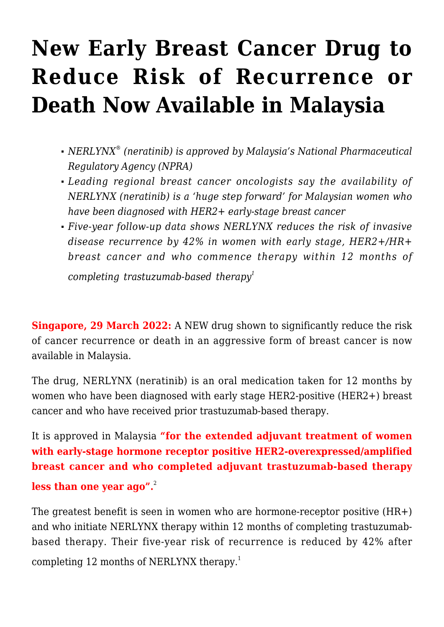# **[New Early Breast Cancer Drug to](https://stabiopharma.com/new-early-breast-cancer-drug-to-reduce-risk-of-recurrence-or-death-now-available-in-malaysia/) [Reduce Risk of Recurrence or](https://stabiopharma.com/new-early-breast-cancer-drug-to-reduce-risk-of-recurrence-or-death-now-available-in-malaysia/) [Death Now Available in Malaysia](https://stabiopharma.com/new-early-breast-cancer-drug-to-reduce-risk-of-recurrence-or-death-now-available-in-malaysia/)**

- *NERLYNX® (neratinib) is approved by Malaysia's National Pharmaceutical Regulatory Agency (NPRA)*
- *Leading regional breast cancer oncologists say the availability of NERLYNX (neratinib) is a 'huge step forward' for Malaysian women who have been diagnosed with HER2+ early-stage breast cancer*
- *Five-year follow-up data shows NERLYNX reduces the risk of invasive disease recurrence by 42% in women with early stage, HER2+/HR+ breast cancer and who commence therapy within 12 months of*

*completing trastuzumab-based therapy<sup>1</sup>*

**Singapore, 29 March 2022:** A NEW drug shown to significantly reduce the risk of cancer recurrence or death in an aggressive form of breast cancer is now available in Malaysia.

The drug, NERLYNX (neratinib) is an oral medication taken for 12 months by women who have been diagnosed with early stage HER2-positive (HER2+) breast cancer and who have received prior trastuzumab-based therapy.

It is approved in Malaysia **"for the extended adjuvant treatment of women with early-stage hormone receptor positive HER2-overexpressed/amplified breast cancer and who completed adjuvant trastuzumab-based therapy less than one year ago".**<sup>2</sup>

The greatest benefit is seen in women who are hormone-receptor positive (HR+) and who initiate NERLYNX therapy within 12 months of completing trastuzumabbased therapy. Their five-year risk of recurrence is reduced by 42% after completing 12 months of NERLYNX therapy.<sup>1</sup>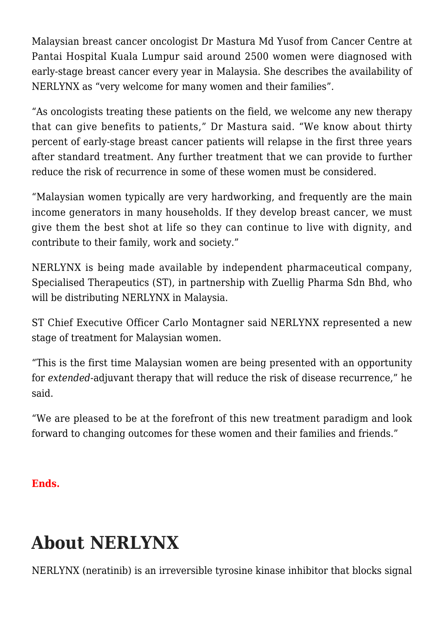Malaysian breast cancer oncologist Dr Mastura Md Yusof from Cancer Centre at Pantai Hospital Kuala Lumpur said around 2500 women were diagnosed with early-stage breast cancer every year in Malaysia. She describes the availability of NERLYNX as "very welcome for many women and their families".

"As oncologists treating these patients on the field, we welcome any new therapy that can give benefits to patients," Dr Mastura said. "We know about thirty percent of early-stage breast cancer patients will relapse in the first three years after standard treatment. Any further treatment that we can provide to further reduce the risk of recurrence in some of these women must be considered.

"Malaysian women typically are very hardworking, and frequently are the main income generators in many households. If they develop breast cancer, we must give them the best shot at life so they can continue to live with dignity, and contribute to their family, work and society."

NERLYNX is being made available by independent pharmaceutical company, Specialised Therapeutics (ST), in partnership with Zuellig Pharma Sdn Bhd, who will be distributing NERLYNX in Malaysia.

ST Chief Executive Officer Carlo Montagner said NERLYNX represented a new stage of treatment for Malaysian women.

"This is the first time Malaysian women are being presented with an opportunity for *extended*-adjuvant therapy that will reduce the risk of disease recurrence," he said.

"We are pleased to be at the forefront of this new treatment paradigm and look forward to changing outcomes for these women and their families and friends."

#### **Ends.**

## **About NERLYNX**

NERLYNX (neratinib) is an irreversible tyrosine kinase inhibitor that blocks signal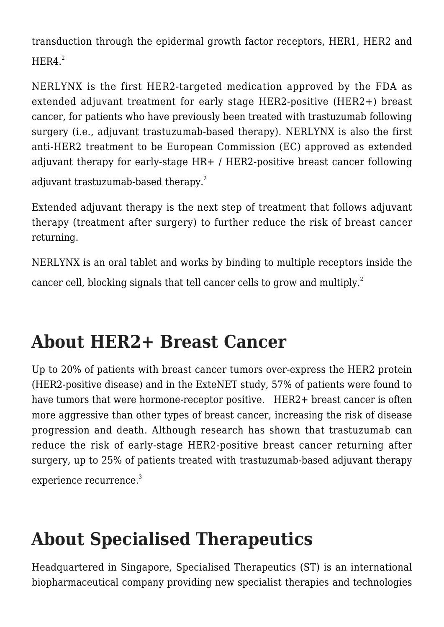transduction through the epidermal growth factor receptors, HER1, HER2 and  $HFR4.<sup>2</sup>$ 

NERLYNX is the first HER2-targeted medication approved by the FDA as extended adjuvant treatment for early stage HER2-positive (HER2+) breast cancer, for patients who have previously been treated with trastuzumab following surgery (i.e., adjuvant trastuzumab-based therapy). NERLYNX is also the first anti-HER2 treatment to be European Commission (EC) approved as extended adjuvant therapy for early-stage HR+ / HER2-positive breast cancer following adjuvant trastuzumab-based therapy.<sup>2</sup>

Extended adjuvant therapy is the next step of treatment that follows adjuvant therapy (treatment after surgery) to further reduce the risk of breast cancer returning.

NERLYNX is an oral tablet and works by binding to multiple receptors inside the cancer cell, blocking signals that tell cancer cells to grow and multiply.<sup>2</sup>

#### **About HER2+ Breast Cancer**

Up to 20% of patients with breast cancer tumors over-express the HER2 protein (HER2-positive disease) and in the ExteNET study, 57% of patients were found to have tumors that were hormone-receptor positive. HER2+ breast cancer is often more aggressive than other types of breast cancer, increasing the risk of disease progression and death. Although research has shown that trastuzumab can reduce the risk of early-stage HER2-positive breast cancer returning after surgery, up to 25% of patients treated with trastuzumab-based adjuvant therapy experience recurrence.<sup>3</sup>

### **About Specialised Therapeutics**

Headquartered in Singapore, Specialised Therapeutics (ST) is an international biopharmaceutical company providing new specialist therapies and technologies